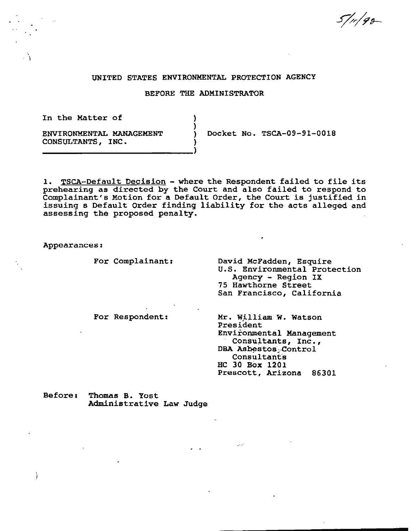$5/$ 11/92-

#### UNITED STATES ENVIRONMENTAL PROTECTION AGENCY

## BEFORE THE ADMINISTRATOR

)

In the Matter of

' )

ENVIRONMENTAL MANAGEMENT CONSULTANTS, INC. ) Docket No. TSCA-09-91-0018

1. TSCA-Default Decision - where the Respondent failed to file its prehearing as directed by the Court and also failed to respond to Complainant's Motion for a Default Order, the Court is justified in issuing s Default Order finding liability for the acts alleged and assessing the proposed penalty.

Appearances:

 $\lambda$ 

For Complainant:

For Respondent:

David McFadden, Esquire u.s. Environmental Protection Agency - Region IX 75 Hawthorne Street San Francisco, California

Mr. William w. Watson President Environmental Management Consultants, Inc., DBA Asbestos -Control **Consultants** HC 30 Box 1201 Prescott, Arizona 86301

Before: Thomas B. Yost Administrative Law Judge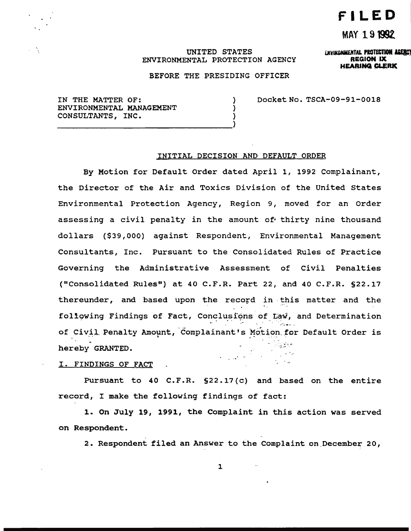# **FILED**

# MAY 191992

ENVIKONMENTAL PROTECTION AGERCY REGION IX **HEARING CLERK** 

# UNITED STATES ENVIRONMENTAL PROTECTION AGENCY

BEFORE THE PRESIDING OFFICER

) ) Docket No. TSCA-09-91-0018

IN THE MATTER OF: ) ENVIRONMENTAL MANAGEMENT CONSULTANTS, INC.

#### INITIAL DECISION AND DEFAULT ORDER

By Motion for Default Order dated April 1, 1992 Complainant, the Director of the Air and Toxics Division of the United States Environmental Protection Agency, Region 9, moved for an Order assessing a civil penalty in the amount of thirty nine thousand dollars (\$39,000} against Respondent, Environmental Management Consultants, Inc. Pursuant to the Consolidated Rules of Practice Governing the Administrative Assessment of Civil Penalties ("Consolidated Rules") at 40 C.P.R. Part 22, and 40 C.P.R. §22.17 thereunder, and based upon the record in this matter and the foliowing Findings of Fact, Conclusions of Law, and Determination of Civil Penalty Amount, Complainant's Motion for Default Order is ; ~ *·:-* . ·:.. ,..- . hereby GRANTED.  $\epsilon = 1.12$  , and  $\epsilon = 1.1$ 

I. FINDINGS OF FACT

Pursuant to 40 C.F.R. §22.17(c) and based on the entire record, I make the following findings of fact:

1. On July 19, 1991, the Complaint in this action was served on Respondent.

2. Respondent filed an Answer to the Complaint on December 20,

 $\sim 100$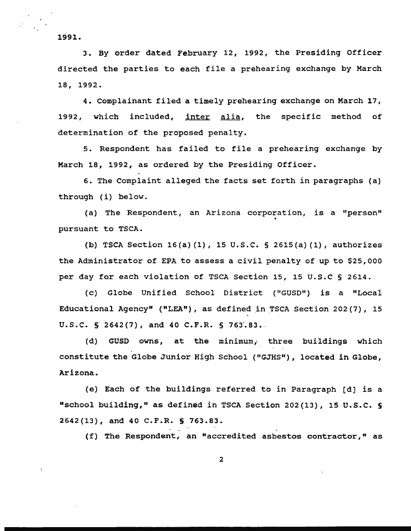1991.

3. By order dated February 12, 1992, the Presiding Officer directed the parties to each file a prehearing exchange by March 18, 1992.

4. Complainant filed a timely prehearing exchange on March 17, 1992, which included, inter alia, the specific method of determination of the proposed penalty.

5. Respondent has failed to file a prehearing exchange by March 18, 1992, as ordered by the Presiding Officer.

6. The Complaint alleged the facts set forth in paragraphs (a) through (i) below.

(a) The Respondent, an Arizona corporation, is a "person" pursuant to TSCA.

(b) TSCA Section 16(a) (1), 15 u.s.c. § 2615(a) (1), authorizes the Administrator of EPA to assess a civil penalty of up to \$25,000 per day for each violation of TSCA Section 15, 15 u.s.c § 2614.

(c) Globe Unified School District ("GUSD") is a "Locai Educational Agency" ("LEA"), as defined in TSCA Section 202(7), 15 U.S.C.  $S$  2642(7), and 40 C.F.R.  $S$  763.83.

(d) GUSD owns, at the minimum, three buildings which constitute the Globe Junior High School ("GJHS"), located in Globe, Arizona.

(e) Each of the buildings referred to in Paragraph [d) is a "school building," as defined in TSCA Section 202(13), 15 u.s.c. § 2642(13), and 40 C.F.R. S 763.83.

(f) The Respondent, an "accredited asbestos contractor," as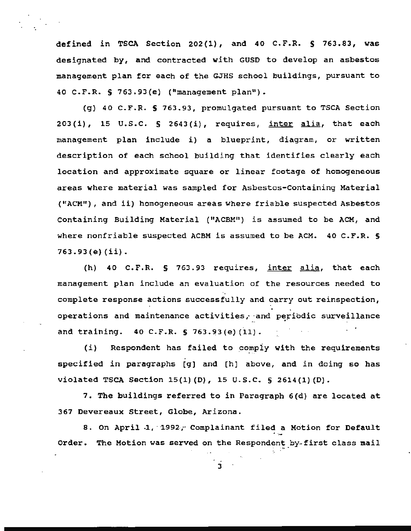defined in TSCA Section 202(1) *1* and 40 c.F.R. S 763.83, was designated by, and contracted with GUSD to develop an asbestos management plan for each of the GJHS school buildings, pursuant to 40 C.F.R. S 763.93(e) ("management plan").

(g) 40 C.F.R. S 763.93, promulgated pursuant to TSCA Section  $203(i)$ , 15 U.S.C. § 2643(i), requires, inter alia, that each management plan include i) a blueprint, diagram, or written description of each school building that identifies clearly each location and approximate square or linear footage of homogeneous areas where material was sampled for Asbestos-Containing Material ("ACM") *1* and ii) homogeneous areas where friable suspected Asbestos Containing Building Material ("ACBMI') is assumed to be ACM, and where nonfriable suspected ACBM is assumed to be ACM. 40 C.F.R. § 763.93(e) (ii).

(h) 40 C.F.R. § 763.93 requires, inter alia, that each management plan include an evaluation of the resources needed to complete response actions successfully and carry out reinspection, operations and maintenance activities, and periodic surveillance and training.  $40 \text{ C.F.R. }$  § 763.93(e)(11).  $\sim 10^{-10}$  .

(i) Respondent has failed to comply with the requirements specified in paragraphs [g) and [h) above, and in doing so has violated TSCA Section 15(1) (D), 15 u.s.c. § 2614(1) (D).

7. The buildings referred to in Paragraph 6(d) are located at 367 Devereaux Street, Globe, Arizona.

8. On April 1, 1992, Complainant filed a Motion for Default Order. The Motion was served on the Respondent by-first class mail

 $\mathbf{3}$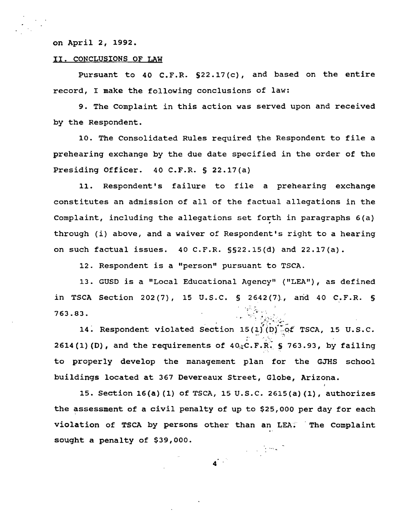#### on April 2, 1992.

#### II. CONCLUSIONS OF LAW

Pursuant to 40 C.F.R. S22.17(c), and based on the entire record, I make the following conclusions of law:

9. The complaint in this action was served upon and received by the Respondent.

10. The Consolidated Rules required the Respondent to file a prehearing exchange by the due date specified in the order of the Presiding Officer. 40 C.F.R. § 22.17(a)

11. Respondent's failure to file a prehearing exchange constitutes an admission of all of the factual allegations in the Complaint, including the allegations set forth in paragraphs 6(a) . through (i) above, and a waiver of Respondent's right to a hearing on such factual issues. 40 C.F.R. §§22.15(d) and 22.17(a).

12. Respondent is a "person" pursuant to TSCA.

13. GUSD is a "Local Educational Agency" ("LEA"), as defined in TSCA Section 202(7), 15 U.S.C. § 2642(7), and 40 C.F.R. § 763.83.

14. Respondent violated Section  $15 (1) (D)$  of TSCA, 15 U.S.C. 2614(1)(D), and the requirements of  $40 \times C$ . F.R. § 763.93, by failing to properly develop the management plan for the GJHS school buildings located at 367 Devereaux Street, Globe, Arizona.

15. Section 16(a) (1) of TSCA, 15 u.s.c. 2615(a) (1), authorizes the assessment of a civil penalty of up to \$25,000 per day for each violation of TSCA by persons other than an LEA: The Complaint sought a penalty of \$39,000. 4 .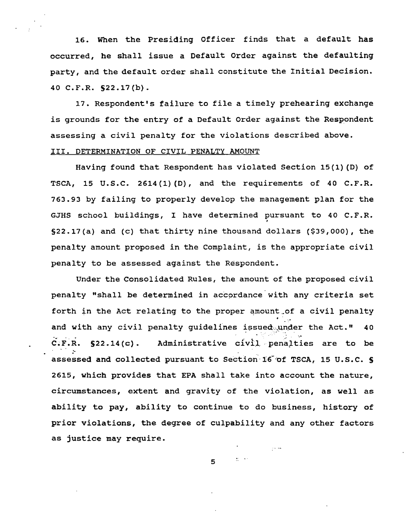16. When the Presiding Officer finds that a default has occurred, he shall issue a Default Order against the defaulting party, and the default order shall constitute the Initial Decision. 40 C.F.R. S22.17(b).

17. Respondent's failure to file a timely prehearing exchange is grounds for the entry of a Default Order against the Respondent assessing a civil penalty for the violations described above. III. DETERMINATION OF CIVIL PENALTY AMOUNT

Having found that Respondent has violated Section 15(1) {D) of TSCA, 15 U.S.C. 2614(1)(D), and the requirements of 40 C.F.R. 763.93 by failing to properly develop the management plan for the GJHS school buildings, I have determined pursuant to 40 C.F.R. , §22.17{a) and (c) that thirty nine thousand dollars (\$39,000), the penalty amount proposed in the Complaint, is the appropriate civil penalty to be assessed against the Respondent.

Under the Consolidated Rules, the amount of the proposed civil penalty "shall be determined in accordance with any criteria set forth in the Act relating to the proper amount of a civil penalty<br>and with any civil penalty guidelines issued.under the Act." 40  $C.F.R.$  §22.14(c). Administrative  $civil$  penalties are to be *:*  assessed and collected pursuant to Section 16 of TSCA, 15 U.S.C. § 2615, which provides that EPA shall take into account the nature, circumstances, extent and gravity of the violation, as well as ability to pay, ability to continue to do business, history of prior violations, the degree of culpability and any other factors as justice may require.

5

 $\mathcal{U} \rightarrow \mathcal{V}$ 

 $\sim 10$  km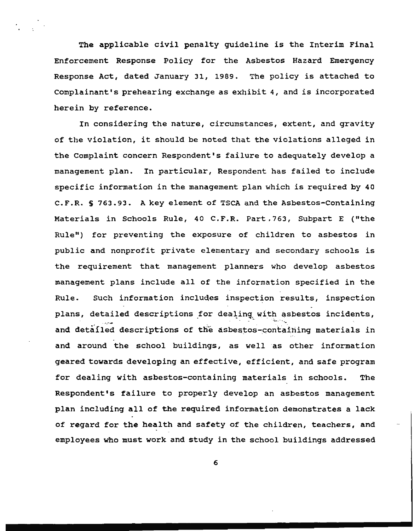The applicable civil penalty guideline is the Interim Final Enforcement Response Policy for the Asbestos Hazard Emergency Response Act, dated January 31, 1989. The policy is attached to Complainant's prehearing exchange as exhibit 4, and is incorporated herein by reference.

In considering the nature, circumstances, extent, and gravity of the violation, it should be noted that the violations alleged in the Complaint concern Respondent's failure to adequately develop a management plan. In particular, Respondent has failed to include specific information in the management plan which is required by 40 C.F.R. S 763.93. A key element of TSCA and the Asbestos-Containing Materials in Schools Rule, 40 C.F.R. Part.763, Subpart E ("the Rule") for preventing the exposure of children to asbestos in public and nonprofit private elementary and secondary schools is the requirement that management planners who develop asbestos management plans include all of the information specified in the Rule. Such information includes inspection results, inspection plans, detailed descriptions for dealing with asbestos incidents, and detailed descriptions of the asbestos-containing materials in and around the school buildings, as well as other information geared towards developing an effective, efficient, and safe program for dealing with asbestos-containing materials in schools. The Respondent's failure to properly develop an asbestos management plan including all of the required information demonstrates a lack of regard for the health and safety of the children, teachers, and employees who must work and study in the school buildings addressed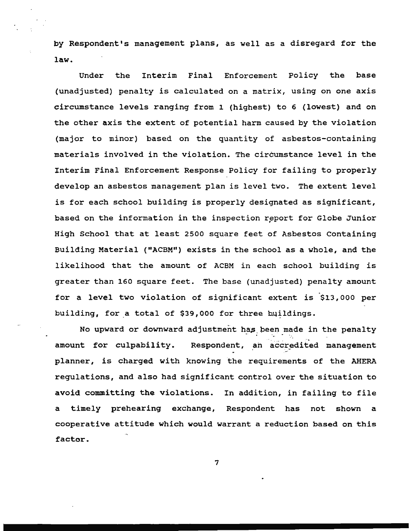by Respondent's management plans, as well as a disregard for the law.

Under the Interim Final Enforcement Policy the base (unadjusted) penalty *is* calculated on a matrix, using on one axis circumstance levels ranging from 1 (highest) to 6 (lowest) and on the other axis the extent of potential harm caused by the violation (major to minor) based on the quantity of asbestos-containing materials involved in the violation. The circumstance level in the Interim Final Enforcement Response Policy for failing to properly develop an asbestos management plan is level two. The extent level is for each school building is properly designated as significant, based on the information in the inspection report for Globe Junior High School that at least 2500 square feet of Asbestos Containing Building Material ("ACBM") exists *in* the school as a whole, and the likelihood that the amount of ACBM *in* each school building is greater than 160 square feet. The base (unadjusted) penalty amount for a level two violation of significant extent *is* \$13,000 per building, for a total of \$39,000 for three buildings.

No upward or downward adjustment has been made in the penalty --. amount for culpability. Respondent, an accredited management planner, is charged with knowing the requirements of the AHERA regulations, and also had significant control over the situation to avoid committing the violations. In addition, in failing to file a timely prehearing exchange, Respondent has not shown a cooperative attitude which would warrant a reduction based on this factor.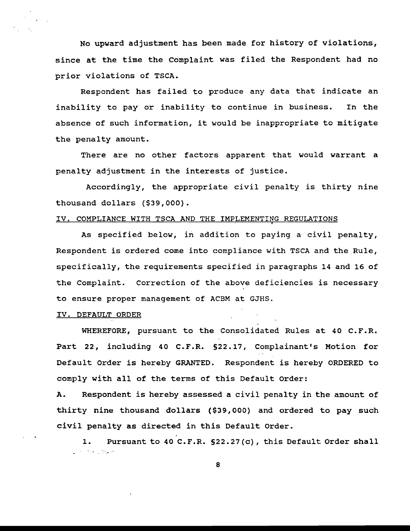No upward adjustment has been made for history of violations, since at the time the Complaint was filed the Respondent had no prior violations of TSCA.

Respondent has failed to produce any data that indicate an inability to pay or inability to continue in business. In the absence of such information, it would be inappropriate to mitigate the penalty amount.

There are no other factors apparent that would warrant a penalty adjustment in the interests of justice.

Accordingly, the appropriate civil penalty is thirty nine thousand dollars (\$39,000).

# IV. COMPLIANCE WITH TSCA AND THE IMPLEMENTING REGULATIONS

As specified below, in addition to paying a civil penalty, Respondent is ordered come into compliance with TSCA and the Rule, specifically, the requirements specified in paragraphs 14 and 16 of the Complaint. Correction of the above deficiencies is necessary to ensure proper management of ACBM at GJHS.

#### IV. DEFAULT ORDER

WHEREFORE, pursuant to the Consolidated Rules at 40 C.F.R. Part 22, including 40 C.F.R. §22.17, Complainant's Motion for Default Order is hereby GRANTED. Respondent is hereby ORDERED to comply with all of the terms of this Default Order:

A. Respondent is hereby assessed a civil penalty in the amount of thirty nine thousand dollars (\$39,000) and ordered to pay such civil penalty as directed in this Default Order.

1. Pursuant to 40 C.F.R. §22.27(c), this Default Order shall  $\mathcal{L}^{\mathcal{L}}$  .  $\mathcal{L}^{\mathcal{L}}$  is a subset of  $\mathcal{L}^{\mathcal{L}}$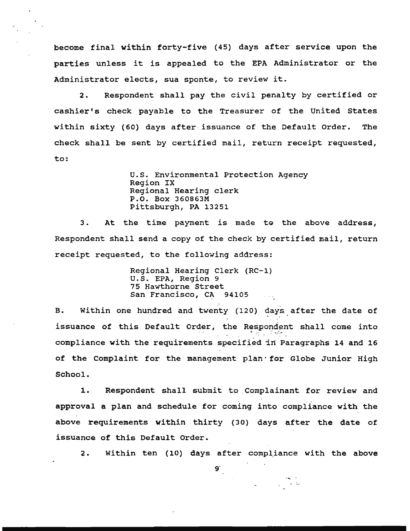become final within forty-five (45) days after service upon the parties unless it is appealed to the EPA Administrator or the Administrator elects, sua sponte, to review it.

2. Respondent shall pay the civil penalty by certified or cashier's check payable to the Treasurer of the United States within sixty (60) days after issuance of the Default Order. The check shall be sent by certified mail, return receipt requested, to:

> U.S. Environmental Protection Agency Region IX Regional Hearing clerk P.O. Box 360863M Pittsburgh, PA 13251

3. At the time payment is made to the above address, Respondent shall send a copy of the check by certified mail, return receipt requested, to the following address:

> Regional Hearing Clerk (RC-1) U.S. EPA, Region 9 75 Hawthorne Street San Francisco, CA 94105

B. Within one hundred and twenty (120) days after the date of issuance of this Default Order, the Respondent shall come into compliance with the requirements specified in Paragraphs 14 and 16 of the Complaint for the management plan · *tor* Globe Junior High School.

1. Respondent shall submit to. Complainant for review and approval a plan and schedule for coming into compliance with the above requirements within thirty (30) days after the date of issuance of this Default Order.

2. Within ten (10) days after compliance with the above

 $9<sup>°</sup>$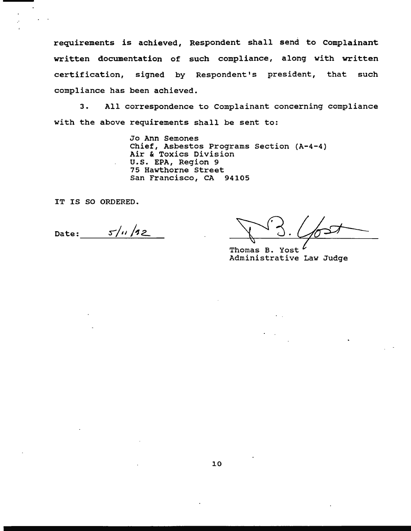requirements is achieved, Respondent shall send to Complainant written documentation of such compliance, along with written certification, signed by Respondent's president, that such compliance has been achieved.

3. All correspondence to Complainant concerning compliance with the above requirements shall be sent to:

> Jo Ann Semones Chief, Asbestos Programs Section (A-4-4) Air & Toxics Division U.S. EPA, Region 9 75 Hawthorne Street San Francisco, CA 94105

IT IS SO ORDERED.

Date:  $5/4/12$ 

Thomas B. Yost<br>Thomas B. Yost<br>Administrative Law Judge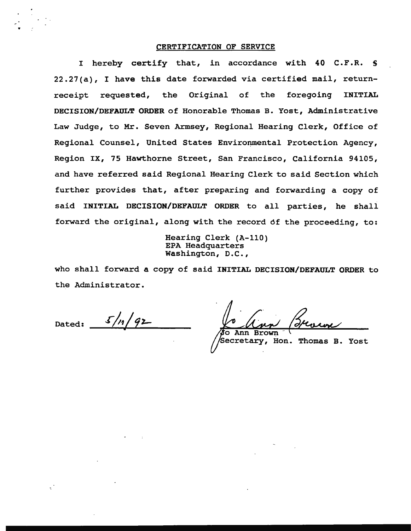#### CERTIFICATION OF SERVICE

I hereby certify that, in accordance with 40 C.F.R. S 22.27(a), I have this date forwarded via certified mail, returnreceipt requested, the Original of the foregoing INITIAL DECISION/DEFAULT ORDER of Honorable Thomas B. Yost, Administrative Law Judge, to Mr. Seven Armsey, Regional Hearing Clerk, Office of Regional Counsel, United States Environmental Protection Agency, Region IX, 75 Hawthorne Street, San Francisco, California 94105, and have referred said Regional Hearing Clerk to said Section which further provides that, after preparing and forwarding a copy of said INITIAL DECISION/DEFAULT ORDER to all parties, he shall forward the original, along with the record 6f the proceeding, to:

> Hearing Clerk (A-110) EPA Headquarters Washington, D.C.,

who shall forward a copy of said INITIAL DECISION/DEFAULT ORDER to the Administrator.

 $5/n/92$ Dated:

Secretary, Hon. Thomas B. Yost